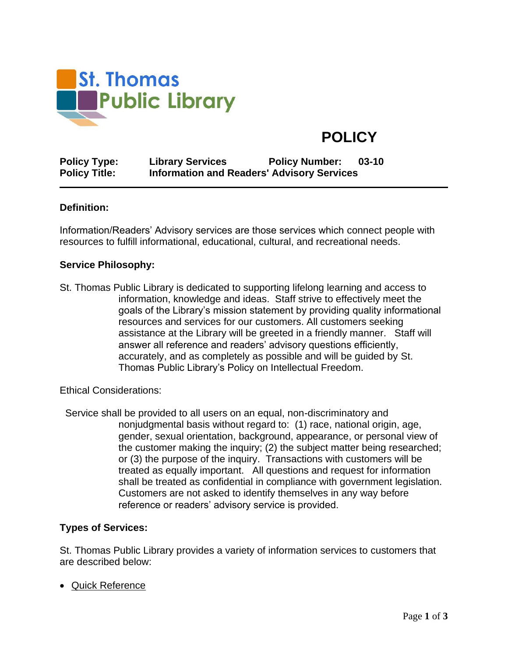

# **POLICY**

**Policy Type: Library Services Policy Number: 03-10 Policy Title: Information and Readers' Advisory Services**

#### **Definition:**

Information/Readers' Advisory services are those services which connect people with resources to fulfill informational, educational, cultural, and recreational needs.

#### **Service Philosophy:**

St. Thomas Public Library is dedicated to supporting lifelong learning and access to information, knowledge and ideas. Staff strive to effectively meet the goals of the Library's mission statement by providing quality informational resources and services for our customers. All customers seeking assistance at the Library will be greeted in a friendly manner. Staff will answer all reference and readers' advisory questions efficiently, accurately, and as completely as possible and will be guided by St. Thomas Public Library's Policy on Intellectual Freedom.

Ethical Considerations:

 Service shall be provided to all users on an equal, non-discriminatory and nonjudgmental basis without regard to: (1) race, national origin, age, gender, sexual orientation, background, appearance, or personal view of the customer making the inquiry; (2) the subject matter being researched; or (3) the purpose of the inquiry. Transactions with customers will be treated as equally important. All questions and request for information shall be treated as confidential in compliance with government legislation. Customers are not asked to identify themselves in any way before reference or readers' advisory service is provided.

#### **Types of Services:**

St. Thomas Public Library provides a variety of information services to customers that are described below:

• Quick Reference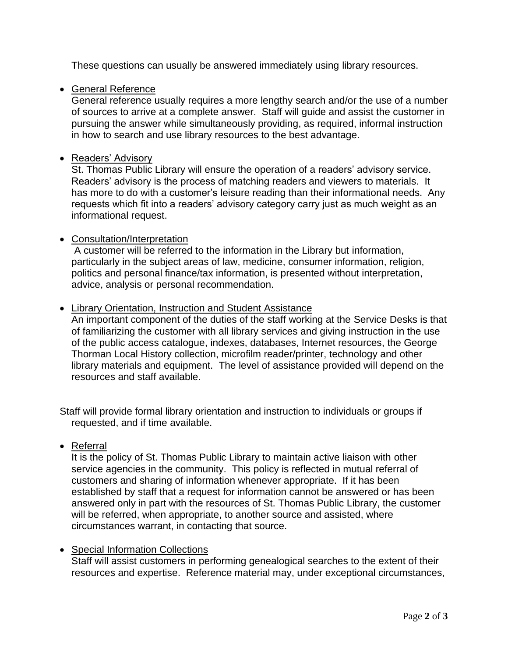These questions can usually be answered immediately using library resources.

# • General Reference

General reference usually requires a more lengthy search and/or the use of a number of sources to arrive at a complete answer. Staff will guide and assist the customer in pursuing the answer while simultaneously providing, as required, informal instruction in how to search and use library resources to the best advantage.

## • Readers' Advisory

St. Thomas Public Library will ensure the operation of a readers' advisory service. Readers' advisory is the process of matching readers and viewers to materials. It has more to do with a customer's leisure reading than their informational needs. Any requests which fit into a readers' advisory category carry just as much weight as an informational request.

## • Consultation/Interpretation

A customer will be referred to the information in the Library but information, particularly in the subject areas of law, medicine, consumer information, religion, politics and personal finance/tax information, is presented without interpretation, advice, analysis or personal recommendation.

## • Library Orientation, Instruction and Student Assistance

An important component of the duties of the staff working at the Service Desks is that of familiarizing the customer with all library services and giving instruction in the use of the public access catalogue, indexes, databases, Internet resources, the George Thorman Local History collection, microfilm reader/printer, technology and other library materials and equipment. The level of assistance provided will depend on the resources and staff available.

Staff will provide formal library orientation and instruction to individuals or groups if requested, and if time available.

## • Referral

It is the policy of St. Thomas Public Library to maintain active liaison with other service agencies in the community. This policy is reflected in mutual referral of customers and sharing of information whenever appropriate. If it has been established by staff that a request for information cannot be answered or has been answered only in part with the resources of St. Thomas Public Library, the customer will be referred, when appropriate, to another source and assisted, where circumstances warrant, in contacting that source.

## • Special Information Collections

Staff will assist customers in performing genealogical searches to the extent of their resources and expertise. Reference material may, under exceptional circumstances,